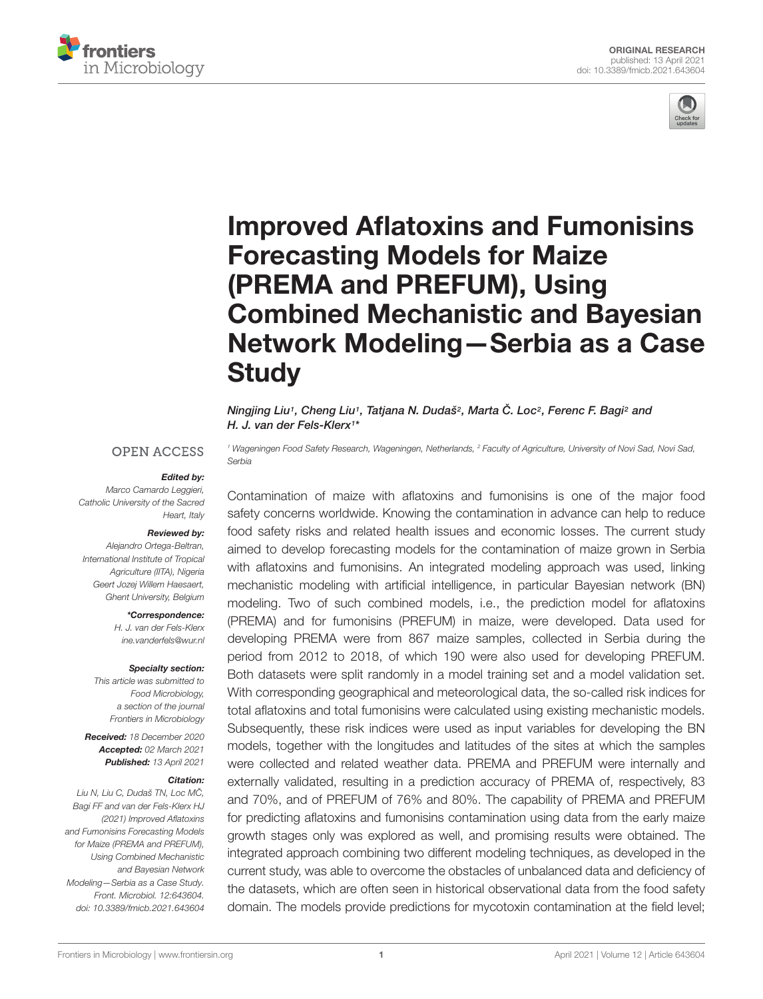



# Improved Aflatoxins and Fumonisins Forecasting Models for Maize (PREMA and PREFUM), Using Combined Mechanistic and Bayesian [Network Modeling—Serbia as a Case](https://www.frontiersin.org/articles/10.3389/fmicb.2021.643604/full) **Study**

Ningjing Liu1, Cheng Liu1, Tatjana N. Dudaš<sup>2</sup>, Marta Č. Loc<sup>2</sup>, Ferenc F. Bagi<sup>2</sup> and H. J. van der Fels-Klerx<sup>1</sup> \*

#### **OPEN ACCESS**

#### Edited by:

Marco Camardo Leggieri, Catholic University of the Sacred Heart, Italy

## Reviewed by:

Alejandro Ortega-Beltran, International Institute of Tropical Agriculture (IITA), Nigeria Geert Jozej Willem Haesaert, Ghent University, Belgium

#### \*Correspondence:

H. J. van der Fels-Klerx ine.vanderfels@wur.nl

#### Specialty section:

This article was submitted to Food Microbiology, a section of the journal Frontiers in Microbiology

Received: 18 December 2020 Accepted: 02 March 2021 Published: 13 April 2021

#### Citation:

Liu N, Liu C, Dudaš TN, Loc MČ, Bagi FF and van der Fels-Klerx HJ (2021) Improved Aflatoxins and Fumonisins Forecasting Models for Maize (PREMA and PREFUM), Using Combined Mechanistic and Bayesian Network Modeling—Serbia as a Case Study. Front. Microbiol. 12:643604. doi: [10.3389/fmicb.2021.643604](https://doi.org/10.3389/fmicb.2021.643604)

<sup>1</sup> Wageningen Food Safety Research, Wageningen, Netherlands, <sup>2</sup> Faculty of Agriculture, University of Novi Sad, Novi Sad, Serbia

Contamination of maize with aflatoxins and fumonisins is one of the major food safety concerns worldwide. Knowing the contamination in advance can help to reduce food safety risks and related health issues and economic losses. The current study aimed to develop forecasting models for the contamination of maize grown in Serbia with aflatoxins and fumonisins. An integrated modeling approach was used, linking mechanistic modeling with artificial intelligence, in particular Bayesian network (BN) modeling. Two of such combined models, i.e., the prediction model for aflatoxins (PREMA) and for fumonisins (PREFUM) in maize, were developed. Data used for developing PREMA were from 867 maize samples, collected in Serbia during the period from 2012 to 2018, of which 190 were also used for developing PREFUM. Both datasets were split randomly in a model training set and a model validation set. With corresponding geographical and meteorological data, the so-called risk indices for total aflatoxins and total fumonisins were calculated using existing mechanistic models. Subsequently, these risk indices were used as input variables for developing the BN models, together with the longitudes and latitudes of the sites at which the samples were collected and related weather data. PREMA and PREFUM were internally and externally validated, resulting in a prediction accuracy of PREMA of, respectively, 83 and 70%, and of PREFUM of 76% and 80%. The capability of PREMA and PREFUM for predicting aflatoxins and fumonisins contamination using data from the early maize growth stages only was explored as well, and promising results were obtained. The integrated approach combining two different modeling techniques, as developed in the current study, was able to overcome the obstacles of unbalanced data and deficiency of the datasets, which are often seen in historical observational data from the food safety domain. The models provide predictions for mycotoxin contamination at the field level;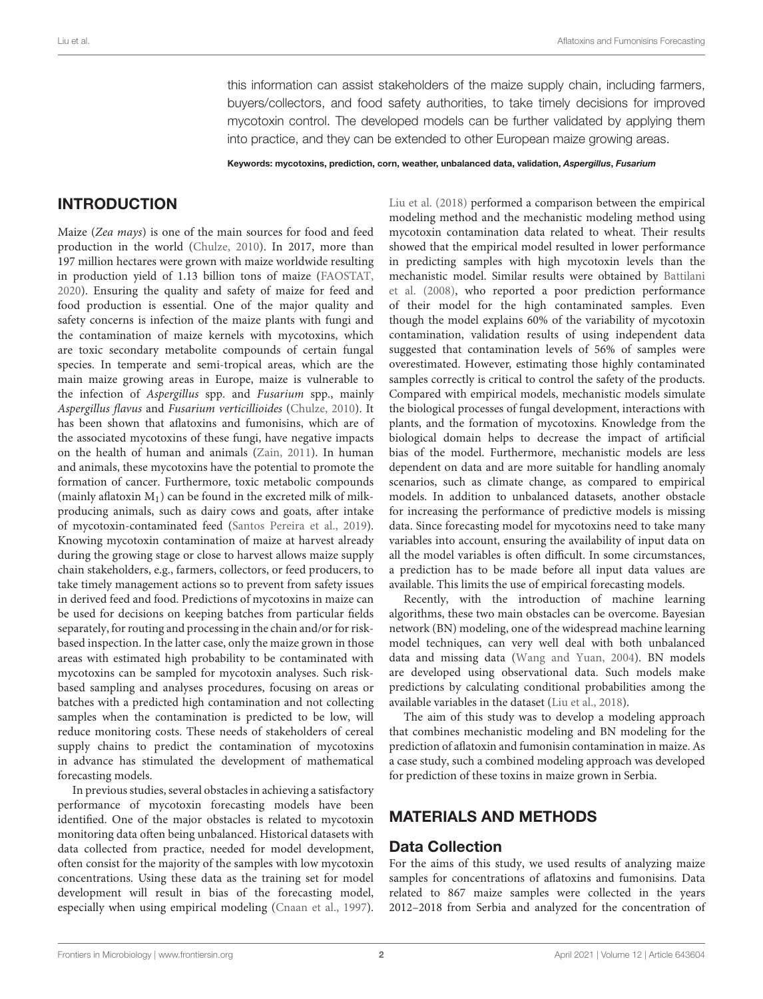this information can assist stakeholders of the maize supply chain, including farmers, buyers/collectors, and food safety authorities, to take timely decisions for improved mycotoxin control. The developed models can be further validated by applying them into practice, and they can be extended to other European maize growing areas.

Keywords: mycotoxins, prediction, corn, weather, unbalanced data, validation, Aspergillus, Fusarium

# **INTRODUCTION**

Maize (Zea mays) is one of the main sources for food and feed production in the world [\(Chulze,](#page-8-0) [2010\)](#page-8-0). In 2017, more than 197 million hectares were grown with maize worldwide resulting in production yield of 1.13 billion tons of maize [\(FAOSTAT,](#page-8-1) [2020\)](#page-8-1). Ensuring the quality and safety of maize for feed and food production is essential. One of the major quality and safety concerns is infection of the maize plants with fungi and the contamination of maize kernels with mycotoxins, which are toxic secondary metabolite compounds of certain fungal species. In temperate and semi-tropical areas, which are the main maize growing areas in Europe, maize is vulnerable to the infection of Aspergillus spp. and Fusarium spp., mainly Aspergillus flavus and Fusarium verticillioides [\(Chulze,](#page-8-0) [2010\)](#page-8-0). It has been shown that aflatoxins and fumonisins, which are of the associated mycotoxins of these fungi, have negative impacts on the health of human and animals [\(Zain,](#page-8-2) [2011\)](#page-8-2). In human and animals, these mycotoxins have the potential to promote the formation of cancer. Furthermore, toxic metabolic compounds (mainly aflatoxin  $M_1$ ) can be found in the excreted milk of milkproducing animals, such as dairy cows and goats, after intake of mycotoxin-contaminated feed [\(Santos Pereira et al.,](#page-8-3) [2019\)](#page-8-3). Knowing mycotoxin contamination of maize at harvest already during the growing stage or close to harvest allows maize supply chain stakeholders, e.g., farmers, collectors, or feed producers, to take timely management actions so to prevent from safety issues in derived feed and food. Predictions of mycotoxins in maize can be used for decisions on keeping batches from particular fields separately, for routing and processing in the chain and/or for riskbased inspection. In the latter case, only the maize grown in those areas with estimated high probability to be contaminated with mycotoxins can be sampled for mycotoxin analyses. Such riskbased sampling and analyses procedures, focusing on areas or batches with a predicted high contamination and not collecting samples when the contamination is predicted to be low, will reduce monitoring costs. These needs of stakeholders of cereal supply chains to predict the contamination of mycotoxins in advance has stimulated the development of mathematical forecasting models.

In previous studies, several obstacles in achieving a satisfactory performance of mycotoxin forecasting models have been identified. One of the major obstacles is related to mycotoxin monitoring data often being unbalanced. Historical datasets with data collected from practice, needed for model development, often consist for the majority of the samples with low mycotoxin concentrations. Using these data as the training set for model development will result in bias of the forecasting model, especially when using empirical modeling [\(Cnaan et al.,](#page-8-4) [1997\)](#page-8-4).

[Liu et al.](#page-8-5) [\(2018\)](#page-8-5) performed a comparison between the empirical modeling method and the mechanistic modeling method using mycotoxin contamination data related to wheat. Their results showed that the empirical model resulted in lower performance in predicting samples with high mycotoxin levels than the mechanistic model. Similar results were obtained by [Battilani](#page-8-6) [et al.](#page-8-6) [\(2008\)](#page-8-6), who reported a poor prediction performance of their model for the high contaminated samples. Even though the model explains 60% of the variability of mycotoxin contamination, validation results of using independent data suggested that contamination levels of 56% of samples were overestimated. However, estimating those highly contaminated samples correctly is critical to control the safety of the products. Compared with empirical models, mechanistic models simulate the biological processes of fungal development, interactions with plants, and the formation of mycotoxins. Knowledge from the biological domain helps to decrease the impact of artificial bias of the model. Furthermore, mechanistic models are less dependent on data and are more suitable for handling anomaly scenarios, such as climate change, as compared to empirical models. In addition to unbalanced datasets, another obstacle for increasing the performance of predictive models is missing data. Since forecasting model for mycotoxins need to take many variables into account, ensuring the availability of input data on all the model variables is often difficult. In some circumstances, a prediction has to be made before all input data values are available. This limits the use of empirical forecasting models.

Recently, with the introduction of machine learning algorithms, these two main obstacles can be overcome. Bayesian network (BN) modeling, one of the widespread machine learning model techniques, can very well deal with both unbalanced data and missing data [\(Wang and Yuan,](#page-8-7) [2004\)](#page-8-7). BN models are developed using observational data. Such models make predictions by calculating conditional probabilities among the available variables in the dataset [\(Liu et al.,](#page-8-5) [2018\)](#page-8-5).

The aim of this study was to develop a modeling approach that combines mechanistic modeling and BN modeling for the prediction of aflatoxin and fumonisin contamination in maize. As a case study, such a combined modeling approach was developed for prediction of these toxins in maize grown in Serbia.

# MATERIALS AND METHODS

## Data Collection

For the aims of this study, we used results of analyzing maize samples for concentrations of aflatoxins and fumonisins. Data related to 867 maize samples were collected in the years 2012–2018 from Serbia and analyzed for the concentration of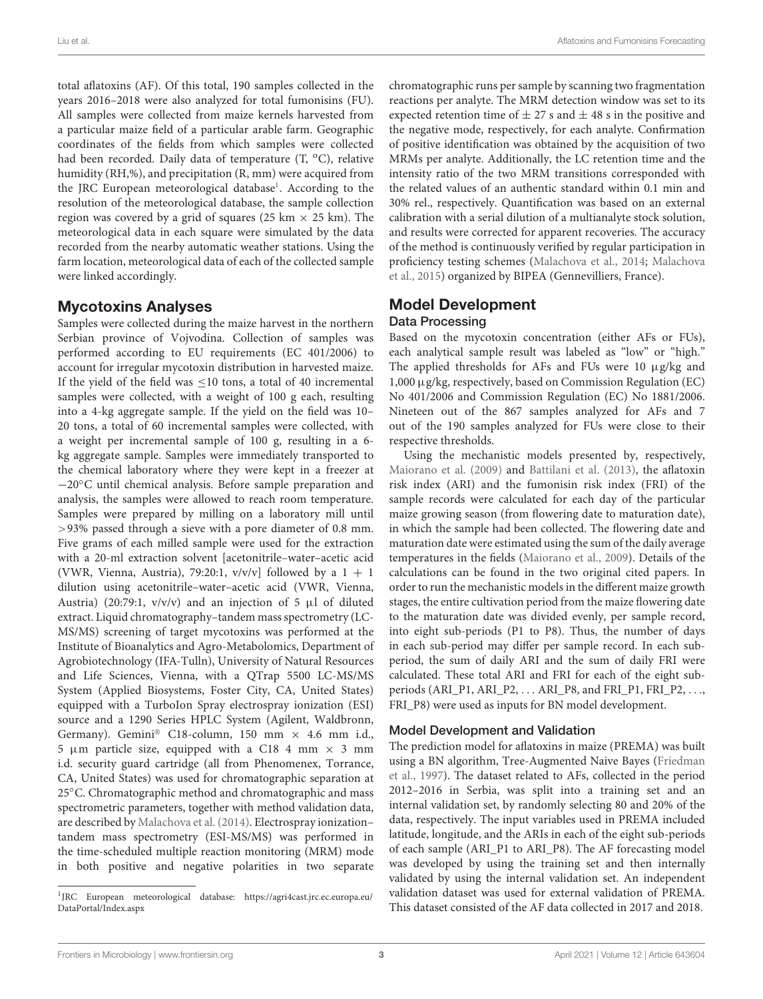total aflatoxins (AF). Of this total, 190 samples collected in the years 2016–2018 were also analyzed for total fumonisins (FU). All samples were collected from maize kernels harvested from a particular maize field of a particular arable farm. Geographic coordinates of the fields from which samples were collected had been recorded. Daily data of temperature  $(T, {}^{o}C)$ , relative humidity (RH,%), and precipitation (R, mm) were acquired from the JRC European meteorological database<sup>[1](#page-2-0)</sup>. According to the resolution of the meteorological database, the sample collection region was covered by a grid of squares (25 km  $\times$  25 km). The meteorological data in each square were simulated by the data recorded from the nearby automatic weather stations. Using the farm location, meteorological data of each of the collected sample were linked accordingly.

# Mycotoxins Analyses

Samples were collected during the maize harvest in the northern Serbian province of Vojvodina. Collection of samples was performed according to EU requirements (EC 401/2006) to account for irregular mycotoxin distribution in harvested maize. If the yield of the field was <10 tons, a total of 40 incremental samples were collected, with a weight of 100 g each, resulting into a 4-kg aggregate sample. If the yield on the field was 10– 20 tons, a total of 60 incremental samples were collected, with a weight per incremental sample of 100 g, resulting in a 6 kg aggregate sample. Samples were immediately transported to the chemical laboratory where they were kept in a freezer at −20◦C until chemical analysis. Before sample preparation and analysis, the samples were allowed to reach room temperature. Samples were prepared by milling on a laboratory mill until >93% passed through a sieve with a pore diameter of 0.8 mm. Five grams of each milled sample were used for the extraction with a 20-ml extraction solvent [acetonitrile–water–acetic acid (VWR, Vienna, Austria), 79:20:1,  $v/v/v$  followed by a  $1 + 1$ dilution using acetonitrile–water–acetic acid (VWR, Vienna, Austria) (20:79:1,  $v/v/v$ ) and an injection of 5  $\mu$ l of diluted extract. Liquid chromatography–tandem mass spectrometry (LC-MS/MS) screening of target mycotoxins was performed at the Institute of Bioanalytics and Agro-Metabolomics, Department of Agrobiotechnology (IFA-Tulln), University of Natural Resources and Life Sciences, Vienna, with a QTrap 5500 LC-MS/MS System (Applied Biosystems, Foster City, CA, United States) equipped with a TurboIon Spray electrospray ionization (ESI) source and a 1290 Series HPLC System (Agilent, Waldbronn, Germany). Gemini® C18-column, 150 mm  $\times$  4.6 mm i.d., 5  $\mu$ m particle size, equipped with a C18 4 mm  $\times$  3 mm i.d. security guard cartridge (all from Phenomenex, Torrance, CA, United States) was used for chromatographic separation at 25℃. Chromatographic method and chromatographic and mass spectrometric parameters, together with method validation data, are described by [Malachova et al.](#page-8-8) [\(2014\)](#page-8-8). Electrospray ionization– tandem mass spectrometry (ESI-MS/MS) was performed in the time-scheduled multiple reaction monitoring (MRM) mode in both positive and negative polarities in two separate

chromatographic runs per sample by scanning two fragmentation reactions per analyte. The MRM detection window was set to its expected retention time of  $\pm 27$  s and  $\pm 48$  s in the positive and the negative mode, respectively, for each analyte. Confirmation of positive identification was obtained by the acquisition of two MRMs per analyte. Additionally, the LC retention time and the intensity ratio of the two MRM transitions corresponded with the related values of an authentic standard within 0.1 min and 30% rel., respectively. Quantification was based on an external calibration with a serial dilution of a multianalyte stock solution, and results were corrected for apparent recoveries. The accuracy of the method is continuously verified by regular participation in proficiency testing schemes [\(Malachova et al.,](#page-8-8) [2014;](#page-8-8) [Malachova](#page-8-9) [et al.,](#page-8-9) [2015\)](#page-8-9) organized by BIPEA (Gennevilliers, France).

# Model Development Data Processing

Based on the mycotoxin concentration (either AFs or FUs), each analytical sample result was labeled as "low" or "high." The applied thresholds for AFs and FUs were 10 µg/kg and 1,000 µg/kg, respectively, based on Commission Regulation (EC) No 401/2006 and Commission Regulation (EC) No 1881/2006. Nineteen out of the 867 samples analyzed for AFs and 7 out of the 190 samples analyzed for FUs were close to their respective thresholds.

Using the mechanistic models presented by, respectively, [Maiorano et al.](#page-8-10) [\(2009\)](#page-8-10) and [Battilani et al.](#page-8-11) [\(2013\)](#page-8-11), the aflatoxin risk index (ARI) and the fumonisin risk index (FRI) of the sample records were calculated for each day of the particular maize growing season (from flowering date to maturation date), in which the sample had been collected. The flowering date and maturation date were estimated using the sum of the daily average temperatures in the fields [\(Maiorano et al.,](#page-8-10) [2009\)](#page-8-10). Details of the calculations can be found in the two original cited papers. In order to run the mechanistic models in the different maize growth stages, the entire cultivation period from the maize flowering date to the maturation date was divided evenly, per sample record, into eight sub-periods (P1 to P8). Thus, the number of days in each sub-period may differ per sample record. In each subperiod, the sum of daily ARI and the sum of daily FRI were calculated. These total ARI and FRI for each of the eight subperiods (ARI\_P1, ARI\_P2, . . . ARI\_P8, and FRI\_P1, FRI\_P2, . . ., FRI\_P8) were used as inputs for BN model development.

## Model Development and Validation

The prediction model for aflatoxins in maize (PREMA) was built using a BN algorithm, Tree-Augmented Naive Bayes [\(Friedman](#page-8-12) [et al.,](#page-8-12) [1997\)](#page-8-12). The dataset related to AFs, collected in the period 2012–2016 in Serbia, was split into a training set and an internal validation set, by randomly selecting 80 and 20% of the data, respectively. The input variables used in PREMA included latitude, longitude, and the ARIs in each of the eight sub-periods of each sample (ARI\_P1 to ARI\_P8). The AF forecasting model was developed by using the training set and then internally validated by using the internal validation set. An independent validation dataset was used for external validation of PREMA. This dataset consisted of the AF data collected in 2017 and 2018.

<span id="page-2-0"></span><sup>&</sup>lt;sup>1</sup>JRC European meteorological database: [https://agri4cast.jrc.ec.europa.eu/](https://agri4cast.jrc.ec.europa.eu/DataPortal/Index.aspx) [DataPortal/Index.aspx](https://agri4cast.jrc.ec.europa.eu/DataPortal/Index.aspx)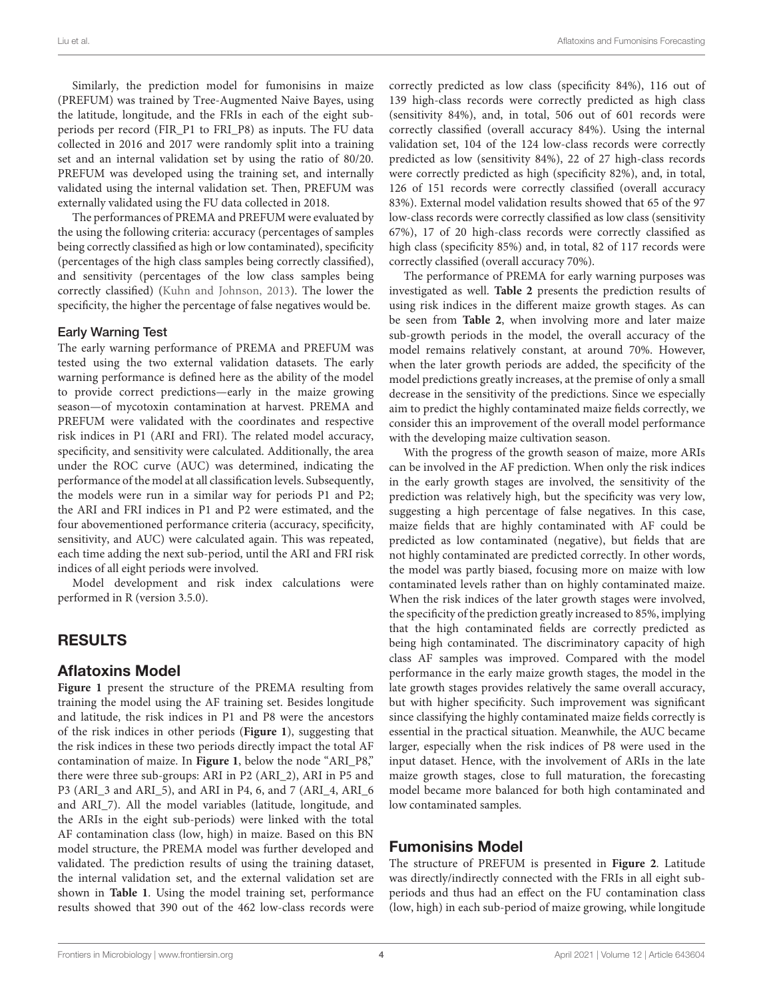Similarly, the prediction model for fumonisins in maize (PREFUM) was trained by Tree-Augmented Naive Bayes, using the latitude, longitude, and the FRIs in each of the eight subperiods per record (FIR\_P1 to FRI\_P8) as inputs. The FU data collected in 2016 and 2017 were randomly split into a training set and an internal validation set by using the ratio of 80/20. PREFUM was developed using the training set, and internally validated using the internal validation set. Then, PREFUM was externally validated using the FU data collected in 2018.

The performances of PREMA and PREFUM were evaluated by the using the following criteria: accuracy (percentages of samples being correctly classified as high or low contaminated), specificity (percentages of the high class samples being correctly classified), and sensitivity (percentages of the low class samples being correctly classified) [\(Kuhn and Johnson,](#page-8-13) [2013\)](#page-8-13). The lower the specificity, the higher the percentage of false negatives would be.

#### Early Warning Test

The early warning performance of PREMA and PREFUM was tested using the two external validation datasets. The early warning performance is defined here as the ability of the model to provide correct predictions—early in the maize growing season—of mycotoxin contamination at harvest. PREMA and PREFUM were validated with the coordinates and respective risk indices in P1 (ARI and FRI). The related model accuracy, specificity, and sensitivity were calculated. Additionally, the area under the ROC curve (AUC) was determined, indicating the performance of the model at all classification levels. Subsequently, the models were run in a similar way for periods P1 and P2; the ARI and FRI indices in P1 and P2 were estimated, and the four abovementioned performance criteria (accuracy, specificity, sensitivity, and AUC) were calculated again. This was repeated, each time adding the next sub-period, until the ARI and FRI risk indices of all eight periods were involved.

Model development and risk index calculations were performed in R (version 3.5.0).

## RESULTS

## Aflatoxins Model

**[Figure 1](#page-4-0)** present the structure of the PREMA resulting from training the model using the AF training set. Besides longitude and latitude, the risk indices in P1 and P8 were the ancestors of the risk indices in other periods (**[Figure 1](#page-4-0)**), suggesting that the risk indices in these two periods directly impact the total AF contamination of maize. In **[Figure 1](#page-4-0)**, below the node "ARI\_P8," there were three sub-groups: ARI in P2 (ARI\_2), ARI in P5 and P3 (ARI\_3 and ARI\_5), and ARI in P4, 6, and 7 (ARI\_4, ARI\_6 and ARI\_7). All the model variables (latitude, longitude, and the ARIs in the eight sub-periods) were linked with the total AF contamination class (low, high) in maize. Based on this BN model structure, the PREMA model was further developed and validated. The prediction results of using the training dataset, the internal validation set, and the external validation set are shown in **[Table 1](#page-4-1)**. Using the model training set, performance results showed that 390 out of the 462 low-class records were

correctly predicted as low class (specificity 84%), 116 out of 139 high-class records were correctly predicted as high class (sensitivity 84%), and, in total, 506 out of 601 records were correctly classified (overall accuracy 84%). Using the internal validation set, 104 of the 124 low-class records were correctly predicted as low (sensitivity 84%), 22 of 27 high-class records were correctly predicted as high (specificity 82%), and, in total, 126 of 151 records were correctly classified (overall accuracy 83%). External model validation results showed that 65 of the 97 low-class records were correctly classified as low class (sensitivity 67%), 17 of 20 high-class records were correctly classified as high class (specificity 85%) and, in total, 82 of 117 records were correctly classified (overall accuracy 70%).

The performance of PREMA for early warning purposes was investigated as well. **[Table 2](#page-5-0)** presents the prediction results of using risk indices in the different maize growth stages. As can be seen from **[Table 2](#page-5-0)**, when involving more and later maize sub-growth periods in the model, the overall accuracy of the model remains relatively constant, at around 70%. However, when the later growth periods are added, the specificity of the model predictions greatly increases, at the premise of only a small decrease in the sensitivity of the predictions. Since we especially aim to predict the highly contaminated maize fields correctly, we consider this an improvement of the overall model performance with the developing maize cultivation season.

With the progress of the growth season of maize, more ARIs can be involved in the AF prediction. When only the risk indices in the early growth stages are involved, the sensitivity of the prediction was relatively high, but the specificity was very low, suggesting a high percentage of false negatives. In this case, maize fields that are highly contaminated with AF could be predicted as low contaminated (negative), but fields that are not highly contaminated are predicted correctly. In other words, the model was partly biased, focusing more on maize with low contaminated levels rather than on highly contaminated maize. When the risk indices of the later growth stages were involved, the specificity of the prediction greatly increased to 85%, implying that the high contaminated fields are correctly predicted as being high contaminated. The discriminatory capacity of high class AF samples was improved. Compared with the model performance in the early maize growth stages, the model in the late growth stages provides relatively the same overall accuracy, but with higher specificity. Such improvement was significant since classifying the highly contaminated maize fields correctly is essential in the practical situation. Meanwhile, the AUC became larger, especially when the risk indices of P8 were used in the input dataset. Hence, with the involvement of ARIs in the late maize growth stages, close to full maturation, the forecasting model became more balanced for both high contaminated and low contaminated samples.

## Fumonisins Model

The structure of PREFUM is presented in **[Figure 2](#page-5-1)**. Latitude was directly/indirectly connected with the FRIs in all eight subperiods and thus had an effect on the FU contamination class (low, high) in each sub-period of maize growing, while longitude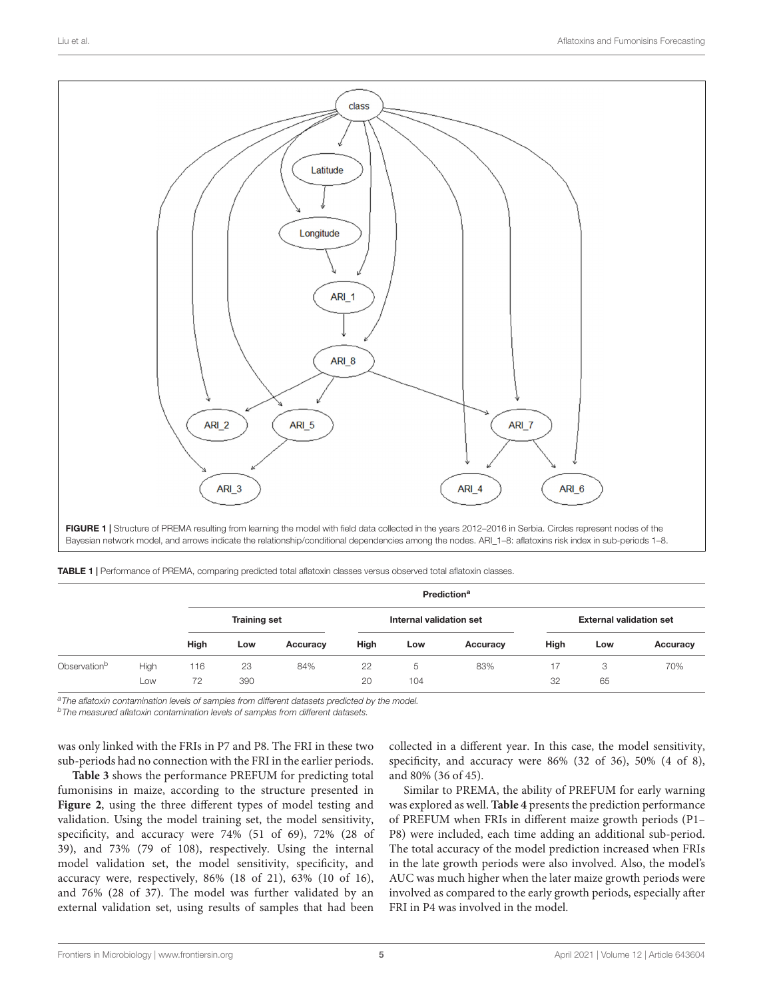

<span id="page-4-1"></span><span id="page-4-0"></span>

|                          |      | Prediction <sup>a</sup> |                     |          |      |                         |          |      |                                |          |
|--------------------------|------|-------------------------|---------------------|----------|------|-------------------------|----------|------|--------------------------------|----------|
|                          |      |                         | <b>Training set</b> |          |      | Internal validation set |          |      | <b>External validation set</b> |          |
|                          |      | High                    | Low                 | Accuracy | High | Low                     | Accuracy | High | Low                            | Accuracy |
| Observation <sup>b</sup> | High | 116                     | 23                  | 84%      | 22   | 5                       | 83%      | 17   | 3                              | 70%      |
|                          | Low  | 72                      | 390                 |          | 20   | 104                     |          | 32   | 65                             |          |

a The aflatoxin contamination levels of samples from different datasets predicted by the model.

**bThe measured aflatoxin contamination levels of samples from different datasets.** 

was only linked with the FRIs in P7 and P8. The FRI in these two sub-periods had no connection with the FRI in the earlier periods.

**[Table 3](#page-6-0)** shows the performance PREFUM for predicting total fumonisins in maize, according to the structure presented in **[Figure 2](#page-5-1)**, using the three different types of model testing and validation. Using the model training set, the model sensitivity, specificity, and accuracy were 74% (51 of 69), 72% (28 of 39), and 73% (79 of 108), respectively. Using the internal model validation set, the model sensitivity, specificity, and accuracy were, respectively, 86% (18 of 21), 63% (10 of 16), and 76% (28 of 37). The model was further validated by an external validation set, using results of samples that had been

collected in a different year. In this case, the model sensitivity, specificity, and accuracy were 86% (32 of 36), 50% (4 of 8), and 80% (36 of 45).

Similar to PREMA, the ability of PREFUM for early warning was explored as well. **[Table 4](#page-6-1)** presents the prediction performance of PREFUM when FRIs in different maize growth periods (P1– P8) were included, each time adding an additional sub-period. The total accuracy of the model prediction increased when FRIs in the late growth periods were also involved. Also, the model's AUC was much higher when the later maize growth periods were involved as compared to the early growth periods, especially after FRI in P4 was involved in the model.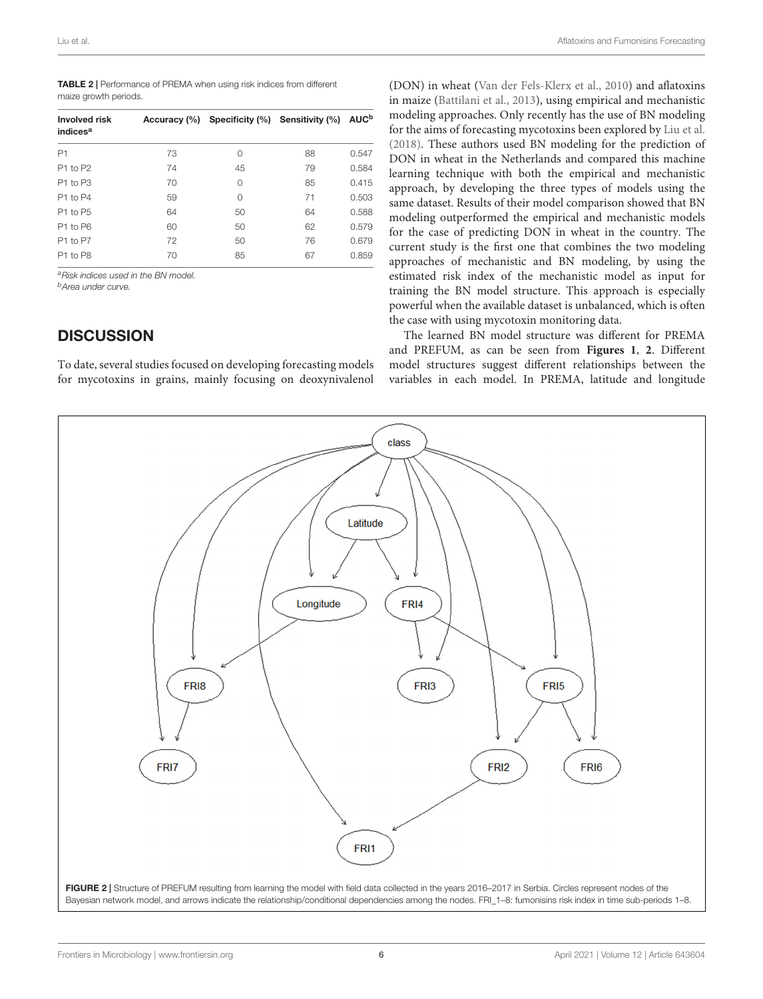<span id="page-5-0"></span>

| <b>TABLE 2</b>   Performance of PREMA when using risk indices from different |
|------------------------------------------------------------------------------|
| maize growth periods.                                                        |

| Involved risk<br>indices <sup>a</sup> | Accuracy (%) |          | Specificity (%) Sensitivity (%) | <b>AUC<sup>b</sup></b> |
|---------------------------------------|--------------|----------|---------------------------------|------------------------|
| P1                                    | 73           | $\Omega$ | 88                              | 0.547                  |
| P <sub>1</sub> to P <sub>2</sub>      | 74           | 45       | 79                              | 0.584                  |
| P1 to P3                              | 70           | $\Omega$ | 85                              | 0.415                  |
| P1 to P4                              | 59           | $\Omega$ | 71                              | 0.503                  |
| P1 to P5                              | 64           | 50       | 64                              | 0.588                  |
| P1 to P6                              | 60           | 50       | 62                              | 0.579                  |
| P1 to P7                              | 72           | 50       | 76                              | 0.679                  |
| P1 to P8                              | 70           | 85       | 67                              | 0.859                  |

aRisk indices used in the BN model.

<sup>b</sup>Area under curve.

# **DISCUSSION**

To date, several studies focused on developing forecasting models for mycotoxins in grains, mainly focusing on deoxynivalenol

(DON) in wheat [\(Van der Fels-Klerx et al.,](#page-8-14) [2010\)](#page-8-14) and aflatoxins in maize [\(Battilani et al.,](#page-8-11) [2013\)](#page-8-11), using empirical and mechanistic modeling approaches. Only recently has the use of BN modeling for the aims of forecasting mycotoxins been explored by [Liu et al.](#page-8-5) [\(2018\)](#page-8-5). These authors used BN modeling for the prediction of DON in wheat in the Netherlands and compared this machine learning technique with both the empirical and mechanistic approach, by developing the three types of models using the same dataset. Results of their model comparison showed that BN modeling outperformed the empirical and mechanistic models for the case of predicting DON in wheat in the country. The current study is the first one that combines the two modeling approaches of mechanistic and BN modeling, by using the estimated risk index of the mechanistic model as input for training the BN model structure. This approach is especially powerful when the available dataset is unbalanced, which is often the case with using mycotoxin monitoring data.

The learned BN model structure was different for PREMA and PREFUM, as can be seen from **[Figures 1](#page-4-0)**, **[2](#page-5-1)**. Different model structures suggest different relationships between the variables in each model. In PREMA, latitude and longitude

<span id="page-5-1"></span>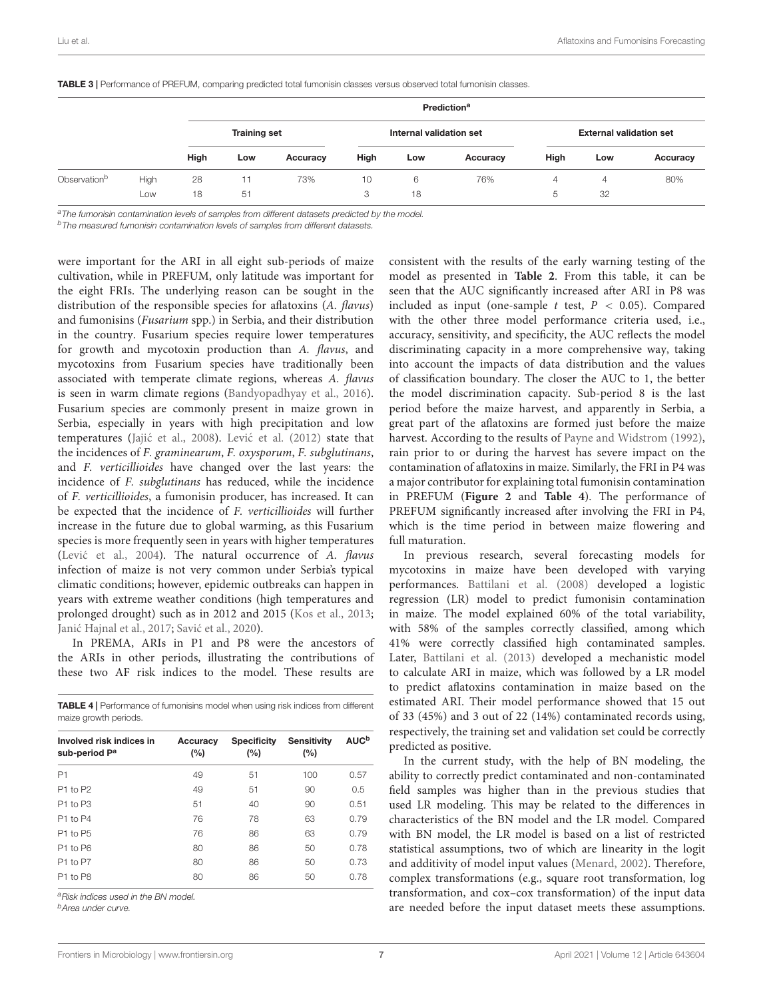<span id="page-6-0"></span>

|                          |             | Prediction <sup>a</sup> |          |          |                         |         |          |                                |         |          |
|--------------------------|-------------|-------------------------|----------|----------|-------------------------|---------|----------|--------------------------------|---------|----------|
|                          |             | <b>Training set</b>     |          |          | Internal validation set |         |          | <b>External validation set</b> |         |          |
|                          |             | High                    | Low      | Accuracy | High                    | Low     | Accuracy | High                           | Low     | Accuracy |
| Observation <sup>b</sup> | High<br>Low | 28<br>18                | 11<br>51 | 73%      | 10<br>3                 | 6<br>18 | 76%      | 4<br>5                         | 4<br>32 | 80%      |

<sup>a</sup>The fumonisin contamination levels of samples from different datasets predicted by the model.

b The measured fumonisin contamination levels of samples from different datasets.

were important for the ARI in all eight sub-periods of maize cultivation, while in PREFUM, only latitude was important for the eight FRIs. The underlying reason can be sought in the distribution of the responsible species for aflatoxins (A. flavus) and fumonisins (Fusarium spp.) in Serbia, and their distribution in the country. Fusarium species require lower temperatures for growth and mycotoxin production than A. flavus, and mycotoxins from Fusarium species have traditionally been associated with temperate climate regions, whereas A. flavus is seen in warm climate regions [\(Bandyopadhyay et al.,](#page-8-15) [2016\)](#page-8-15). Fusarium species are commonly present in maize grown in Serbia, especially in years with high precipitation and low temperatures (Jajić et al., [2008\)](#page-8-16). Lević et al. [\(2012\)](#page-8-17) state that the incidences of F. graminearum, F. oxysporum, F. subglutinans, and F. verticillioides have changed over the last years: the incidence of F. subglutinans has reduced, while the incidence of F. verticillioides, a fumonisin producer, has increased. It can be expected that the incidence of F. verticillioides will further increase in the future due to global warming, as this Fusarium species is more frequently seen in years with higher temperatures (Lević et al., [2004\)](#page-8-18). The natural occurrence of A. flavus infection of maize is not very common under Serbia's typical climatic conditions; however, epidemic outbreaks can happen in years with extreme weather conditions (high temperatures and prolonged drought) such as in 2012 and 2015 [\(Kos et al.,](#page-8-19) [2013;](#page-8-19) Janić Hajnal et al., [2017;](#page-8-20) Savić et al., [2020\)](#page-8-21).

In PREMA, ARIs in P1 and P8 were the ancestors of the ARIs in other periods, illustrating the contributions of these two AF risk indices to the model. These results are

<span id="page-6-1"></span>TABLE 4 | Performance of fumonisins model when using risk indices from different maize growth periods.

| Involved risk indices in<br>sub-period P <sup>a</sup> | Accuracy<br>(%) | <b>Specificity</b><br>(%) |     | <b>AUC<sup>b</sup></b> |  |
|-------------------------------------------------------|-----------------|---------------------------|-----|------------------------|--|
| P1                                                    | 49              | 51                        | 100 | 0.57                   |  |
| P1 to P2                                              | 49              | 51                        | 90  | 0.5                    |  |
| P1 to P3                                              | 51              | 40                        | 90  | 0.51                   |  |
| P1 to P4                                              | 76              | 78                        | 63  | 0.79                   |  |
| P1 to P5                                              | 76              | 86                        | 63  | 0.79                   |  |
| P1 to P6                                              | 80              | 86                        | 50  | 0.78                   |  |
| P1 to P7                                              | 80              | 86                        | 50  | 0.73                   |  |
| P1 to P8                                              | 80              | 86                        | 50  | 0.78                   |  |

aRisk indices used in the BN model.

<sup>b</sup>Area under curve.

consistent with the results of the early warning testing of the model as presented in **[Table 2](#page-5-0)**. From this table, it can be seen that the AUC significantly increased after ARI in P8 was included as input (one-sample  $t$  test,  $P < 0.05$ ). Compared with the other three model performance criteria used, i.e., accuracy, sensitivity, and specificity, the AUC reflects the model discriminating capacity in a more comprehensive way, taking into account the impacts of data distribution and the values of classification boundary. The closer the AUC to 1, the better the model discrimination capacity. Sub-period 8 is the last period before the maize harvest, and apparently in Serbia, a great part of the aflatoxins are formed just before the maize harvest. According to the results of [Payne and Widstrom](#page-8-22) [\(1992\)](#page-8-22), rain prior to or during the harvest has severe impact on the contamination of aflatoxins in maize. Similarly, the FRI in P4 was a major contributor for explaining total fumonisin contamination in PREFUM (**[Figure 2](#page-5-1)** and **[Table 4](#page-6-1)**). The performance of PREFUM significantly increased after involving the FRI in P4, which is the time period in between maize flowering and full maturation.

In previous research, several forecasting models for mycotoxins in maize have been developed with varying performances. [Battilani et al.](#page-8-6) [\(2008\)](#page-8-6) developed a logistic regression (LR) model to predict fumonisin contamination in maize. The model explained 60% of the total variability, with 58% of the samples correctly classified, among which 41% were correctly classified high contaminated samples. Later, [Battilani et al.](#page-8-11) [\(2013\)](#page-8-11) developed a mechanistic model to calculate ARI in maize, which was followed by a LR model to predict aflatoxins contamination in maize based on the estimated ARI. Their model performance showed that 15 out of 33 (45%) and 3 out of 22 (14%) contaminated records using, respectively, the training set and validation set could be correctly predicted as positive.

In the current study, with the help of BN modeling, the ability to correctly predict contaminated and non-contaminated field samples was higher than in the previous studies that used LR modeling. This may be related to the differences in characteristics of the BN model and the LR model. Compared with BN model, the LR model is based on a list of restricted statistical assumptions, two of which are linearity in the logit and additivity of model input values [\(Menard,](#page-8-23) [2002\)](#page-8-23). Therefore, complex transformations (e.g., square root transformation, log transformation, and cox–cox transformation) of the input data are needed before the input dataset meets these assumptions.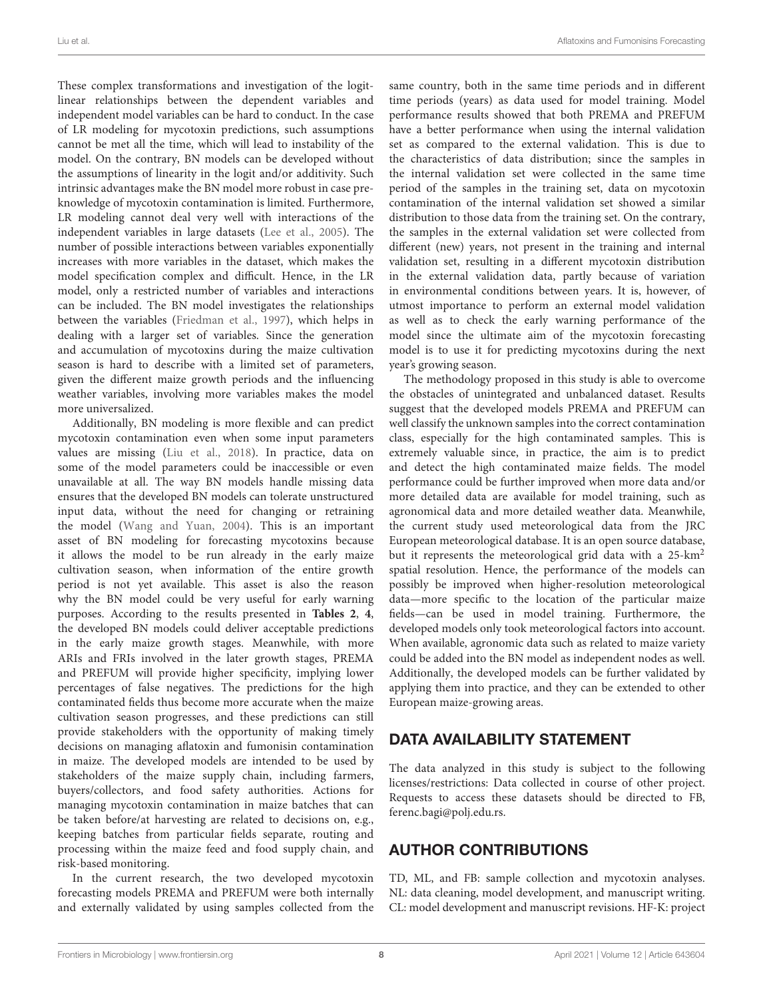These complex transformations and investigation of the logitlinear relationships between the dependent variables and independent model variables can be hard to conduct. In the case of LR modeling for mycotoxin predictions, such assumptions cannot be met all the time, which will lead to instability of the model. On the contrary, BN models can be developed without the assumptions of linearity in the logit and/or additivity. Such intrinsic advantages make the BN model more robust in case preknowledge of mycotoxin contamination is limited. Furthermore, LR modeling cannot deal very well with interactions of the independent variables in large datasets [\(Lee et al.,](#page-8-24) [2005\)](#page-8-24). The number of possible interactions between variables exponentially increases with more variables in the dataset, which makes the model specification complex and difficult. Hence, in the LR model, only a restricted number of variables and interactions can be included. The BN model investigates the relationships between the variables [\(Friedman et al.,](#page-8-12) [1997\)](#page-8-12), which helps in dealing with a larger set of variables. Since the generation and accumulation of mycotoxins during the maize cultivation season is hard to describe with a limited set of parameters, given the different maize growth periods and the influencing weather variables, involving more variables makes the model more universalized.

Additionally, BN modeling is more flexible and can predict mycotoxin contamination even when some input parameters values are missing [\(Liu et al.,](#page-8-5) [2018\)](#page-8-5). In practice, data on some of the model parameters could be inaccessible or even unavailable at all. The way BN models handle missing data ensures that the developed BN models can tolerate unstructured input data, without the need for changing or retraining the model [\(Wang and Yuan,](#page-8-7) [2004\)](#page-8-7). This is an important asset of BN modeling for forecasting mycotoxins because it allows the model to be run already in the early maize cultivation season, when information of the entire growth period is not yet available. This asset is also the reason why the BN model could be very useful for early warning purposes. According to the results presented in **[Tables 2](#page-5-0)**, **[4](#page-6-1)**, the developed BN models could deliver acceptable predictions in the early maize growth stages. Meanwhile, with more ARIs and FRIs involved in the later growth stages, PREMA and PREFUM will provide higher specificity, implying lower percentages of false negatives. The predictions for the high contaminated fields thus become more accurate when the maize cultivation season progresses, and these predictions can still provide stakeholders with the opportunity of making timely decisions on managing aflatoxin and fumonisin contamination in maize. The developed models are intended to be used by stakeholders of the maize supply chain, including farmers, buyers/collectors, and food safety authorities. Actions for managing mycotoxin contamination in maize batches that can be taken before/at harvesting are related to decisions on, e.g., keeping batches from particular fields separate, routing and processing within the maize feed and food supply chain, and risk-based monitoring.

In the current research, the two developed mycotoxin forecasting models PREMA and PREFUM were both internally and externally validated by using samples collected from the same country, both in the same time periods and in different time periods (years) as data used for model training. Model performance results showed that both PREMA and PREFUM have a better performance when using the internal validation set as compared to the external validation. This is due to the characteristics of data distribution; since the samples in the internal validation set were collected in the same time period of the samples in the training set, data on mycotoxin contamination of the internal validation set showed a similar distribution to those data from the training set. On the contrary, the samples in the external validation set were collected from different (new) years, not present in the training and internal validation set, resulting in a different mycotoxin distribution in the external validation data, partly because of variation in environmental conditions between years. It is, however, of utmost importance to perform an external model validation as well as to check the early warning performance of the model since the ultimate aim of the mycotoxin forecasting model is to use it for predicting mycotoxins during the next year's growing season.

The methodology proposed in this study is able to overcome the obstacles of unintegrated and unbalanced dataset. Results suggest that the developed models PREMA and PREFUM can well classify the unknown samples into the correct contamination class, especially for the high contaminated samples. This is extremely valuable since, in practice, the aim is to predict and detect the high contaminated maize fields. The model performance could be further improved when more data and/or more detailed data are available for model training, such as agronomical data and more detailed weather data. Meanwhile, the current study used meteorological data from the JRC European meteorological database. It is an open source database, but it represents the meteorological grid data with a 25-km<sup>2</sup> spatial resolution. Hence, the performance of the models can possibly be improved when higher-resolution meteorological data—more specific to the location of the particular maize fields—can be used in model training. Furthermore, the developed models only took meteorological factors into account. When available, agronomic data such as related to maize variety could be added into the BN model as independent nodes as well. Additionally, the developed models can be further validated by applying them into practice, and they can be extended to other European maize-growing areas.

# DATA AVAILABILITY STATEMENT

The data analyzed in this study is subject to the following licenses/restrictions: Data collected in course of other project. Requests to access these datasets should be directed to FB, [ferenc.bagi@polj.edu.rs.](mailto:ferenc.bagi@polj.edu.rs)

# AUTHOR CONTRIBUTIONS

TD, ML, and FB: sample collection and mycotoxin analyses. NL: data cleaning, model development, and manuscript writing. CL: model development and manuscript revisions. HF-K: project